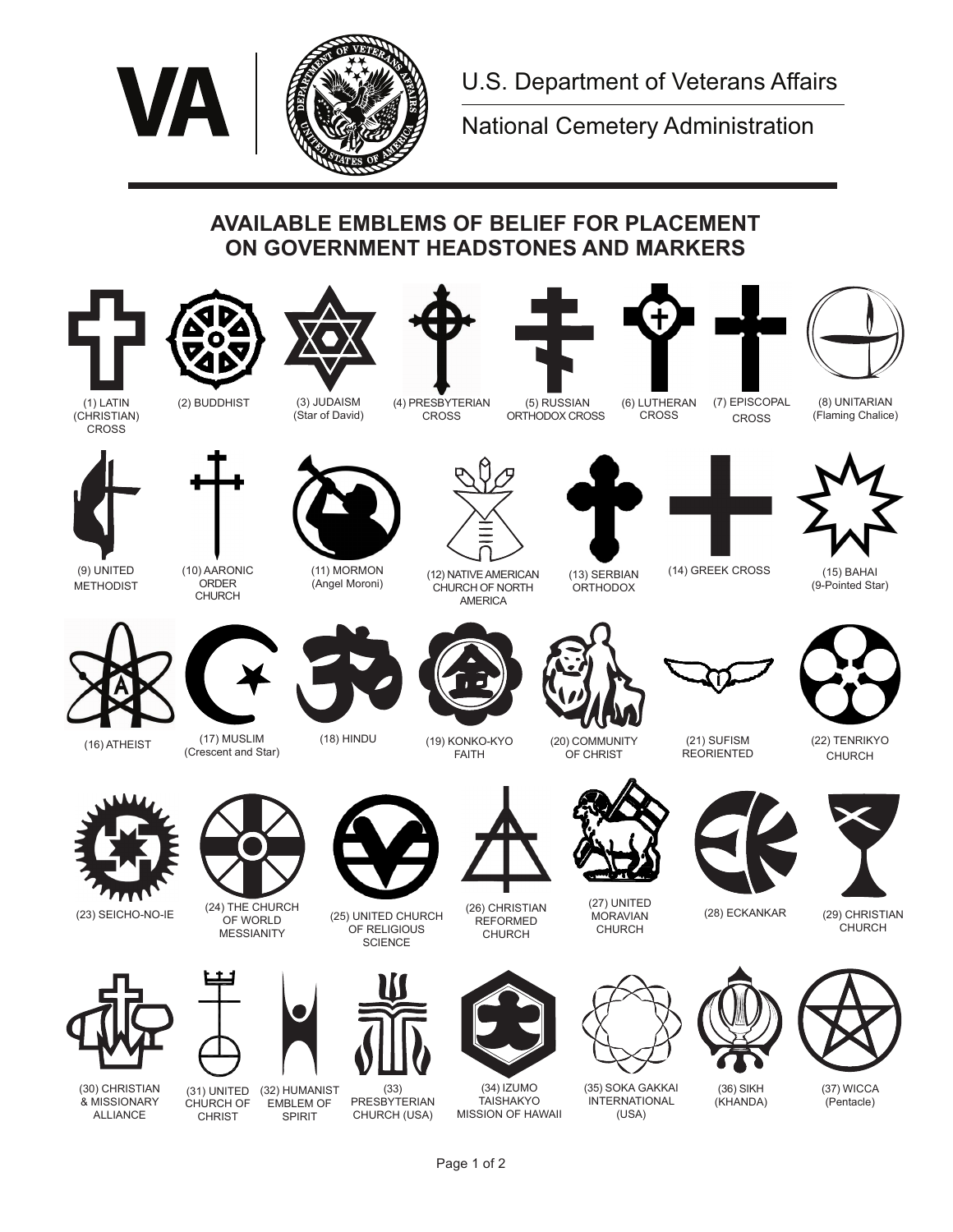

National Cemetery Administration

## **AVAILABLE EMBLEMS OF BELIEF FOR PLACEMENT ON GOVERNMENT HEADSTONES AND MARKERS**









(4) PRESBYTERIAN CROSS (Star of David)

 (5) RUSSIAN ORTHODOX CROSS

(6) LUTHERAN CROSS



CROSS

(8) UNITARIAN (Flaming Chalice)

**CROSS** 



(9) UNITED METHODIST

(10) AARONIC ORDER CHURCH



(11) MORMON



(12) NATIVE AMERICAN CHURCH OF NORTH AMERICA

(13) SERBIAN **ORTHODOX** 



(14) GREEK CROSS (15) BAHAI (9-Pointed Star)



(16) ATHEIST



(17) MUSLIM (Crescent and Star)





(18) HINDU (19) KONKO-KYO FAITH



REORIENTED



(22) TENRIKYO



(28) ECKANKAR (29) CHRISTIAN CHURCH



(30) CHRISTIAN & MISSIONARY ALLIANCE



OF WORLD MESSIANITY

(23) SEICHO-NO-IE (24) THE CHURCH

(32) HUMANIST (31) UNITED EMBLEM OF CHURCH OF

CHRIST

SPIRIT



(33) PRESBYTERIAN CHURCH (USA)



(26) CHRISTIAN **REFORMED** CHURCH

(34) IZUMO **TAISHAKYO** MISSION OF HAWAII



(35) SOKA GAKKAI INTERNATIONAL (USA)



(37) WICCA (Pentacle)













(36) SIKH (KHANDA)



(27) UNITED **MORAVIAN** 

(21) SUFISM